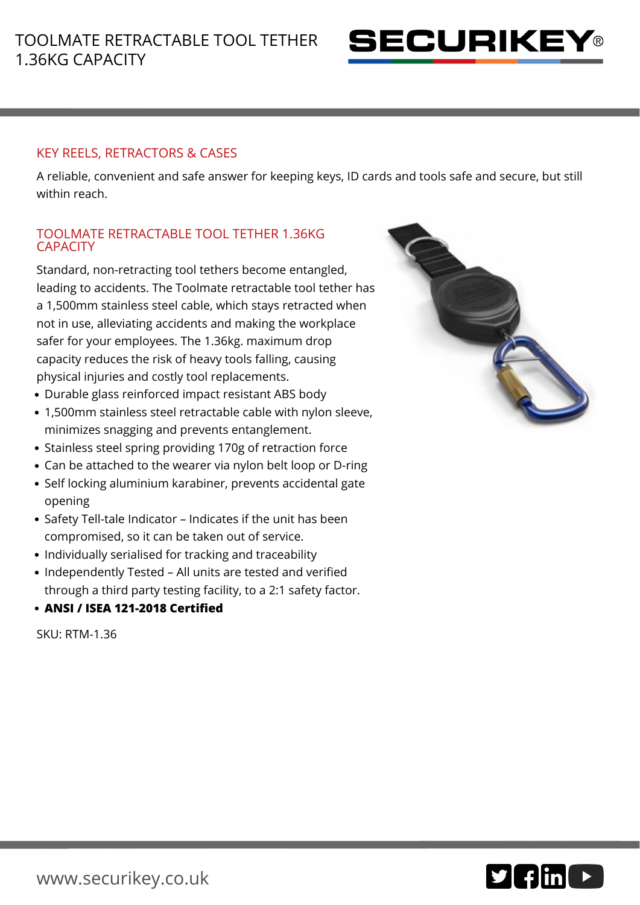

## KEY REELS, RETRACTORS & CASES

A reliable, convenient and safe answer for keeping keys, ID cards and tools safe and secure, but still within reach.

## TOOLMATE RETRACTABLE TOOL TETHER 1.36KG **CAPACITY**

Standard, non-retracting tool tethers become entangled, leading to accidents. The Toolmate retractable tool tether has a 1,500mm stainless steel cable, which stays retracted when not in use, alleviating accidents and making the workplace safer for your employees. The 1.36kg. maximum drop capacity reduces the risk of heavy tools falling, causing physical injuries and costly tool replacements.

- Durable glass reinforced impact resistant ABS body
- 1,500mm stainless steel retractable cable with nylon sleeve, minimizes snagging and prevents entanglement.
- Stainless steel spring providing 170g of retraction force
- Can be attached to the wearer via nylon belt loop or D-ring
- Self locking aluminium karabiner, prevents accidental gate opening
- Safety Tell-tale Indicator Indicates if the unit has been compromised, so it can be taken out of service.
- Individually serialised for tracking and traceability
- Independently Tested All units are tested and verified through a third party testing facility, to a 2:1 safety factor.
- **ANSI / ISEA 121-2018 Certified**

SKU: RTM-1.36



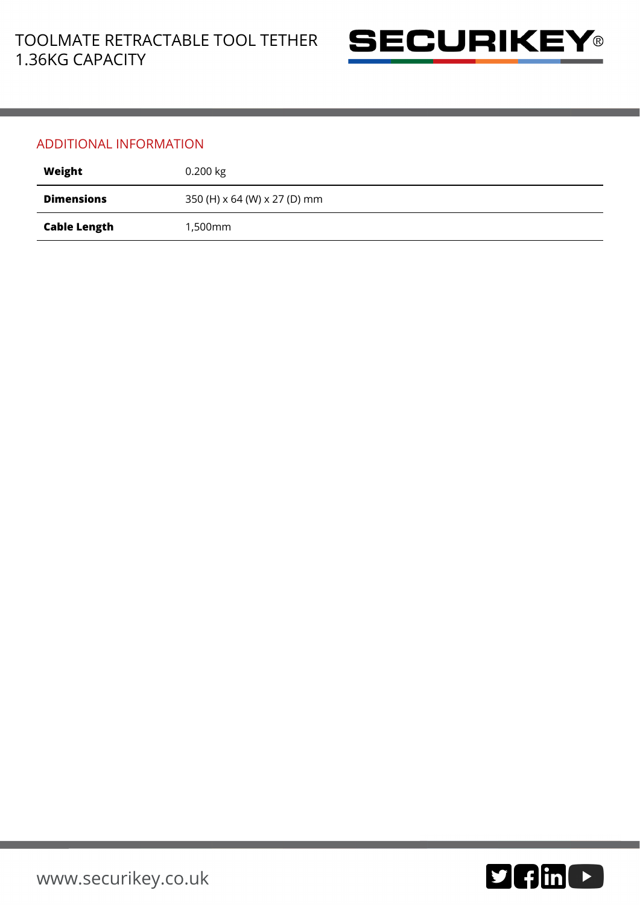

## ADDITIONAL INFORMATION

| Weight              | $0.200$ kg                   |
|---------------------|------------------------------|
| <b>Dimensions</b>   | 350 (H) x 64 (W) x 27 (D) mm |
| <b>Cable Length</b> | 1,500mm                      |

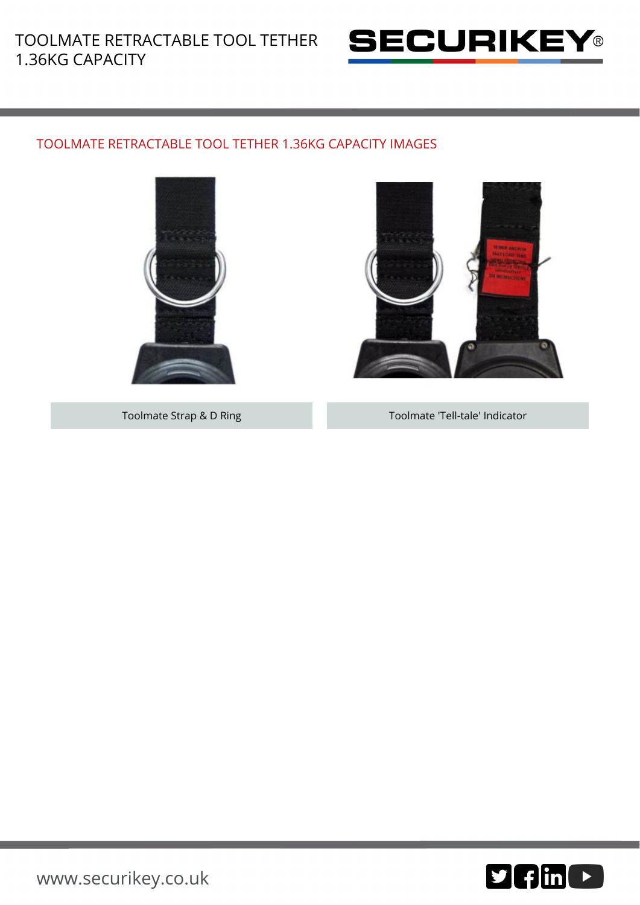

## TOOLMATE RETRACTABLE TOOL TETHER 1.36KG CAPACITY IMAGES





Toolmate Strap & D Ring Toolmate 'Tell-tale' Indicator